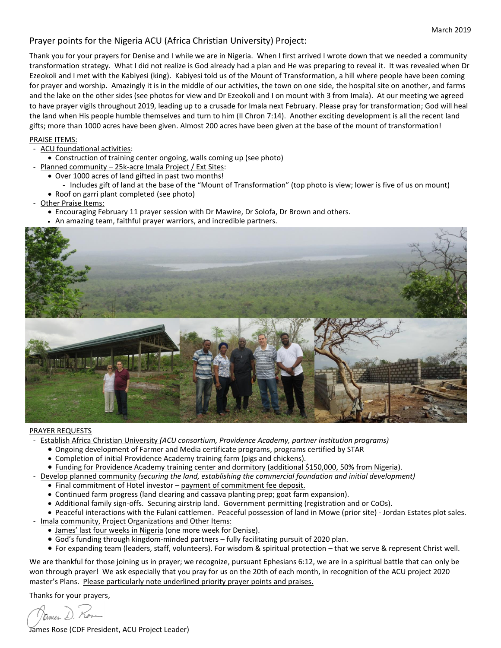## Prayer points for the Nigeria ACU (Africa Christian University) Project:

Thank you for your prayers for Denise and I while we are in Nigeria. When I first arrived I wrote down that we needed a community transformation strategy. What I did not realize is God already had a plan and He was preparing to reveal it. It was revealed when Dr Ezeokoli and I met with the Kabiyesi (king). Kabiyesi told us of the Mount of Transformation, a hill where people have been coming for prayer and worship. Amazingly it is in the middle of our activities, the town on one side, the hospital site on another, and farms and the lake on the other sides (see photos for view and Dr Ezeokoli and I on mount with 3 from Imala). At our meeting we agreed to have prayer vigils throughout 2019, leading up to a crusade for Imala next February. Please pray for transformation; God will heal the land when His people humble themselves and turn to him (II Chron 7:14). Another exciting development is all the recent land gifts; more than 1000 acres have been given. Almost 200 acres have been given at the base of the mount of transformation!

## PRAISE ITEMS:

- ACU foundational activities:
	- Construction of training center ongoing, walls coming up (see photo)
	- Planned community 25k-acre Imala Project / Ext Sites:
	- Over 1000 acres of land gifted in past two months!
		- Includes gift of land at the base of the "Mount of Transformation" (top photo is view; lower is five of us on mount)
	- Roof on garri plant completed (see photo)
- Other Praise Items:
	- Encouraging February 11 prayer session with Dr Mawire, Dr Solofa, Dr Brown and others.
	- An amazing team, faithful prayer warriors, and incredible partners.



## PRAYER REQUESTS

- Establish Africa Christian University *(ACU consortium, Providence Academy, partner institution programs)*
	- Ongoing development of Farmer and Media certificate programs, programs certified by STAR
	- Completion of initial Providence Academy training farm (pigs and chickens).
	- Funding for Providence Academy training center and dormitory (additional \$150,000, 50% from Nigeria).
- Develop planned community *(securing the land, establishing the commercial foundation and initial development)*
	- Final commitment of Hotel investor payment of commitment fee deposit.
	- Continued farm progress (land clearing and cassava planting prep; goat farm expansion).
	- Additional family sign-offs. Securing airstrip land. Government permitting (registration and or CoOs).
	- Peaceful interactions with the Fulani cattlemen. Peaceful possession of land in Mowe (prior site) Jordan Estates plot sales.
- Imala community, Project Organizations and Other Items:
	- James' last four weeks in Nigeria (one more week for Denise).
	- God's funding through kingdom-minded partners fully facilitating pursuit of 2020 plan.
	- For expanding team (leaders, staff, volunteers). For wisdom & spiritual protection that we serve & represent Christ well.

We are thankful for those joining us in prayer; we recognize, pursuant Ephesians 6:12, we are in a spiritual battle that can only be won through prayer! We ask especially that you pray for us on the 20th of each month, in recognition of the ACU project 2020 master's Plans. Please particularly note underlined priority prayer points and praises.

Thanks for your prayers,

ames L

James Rose (CDF President, ACU Project Leader)